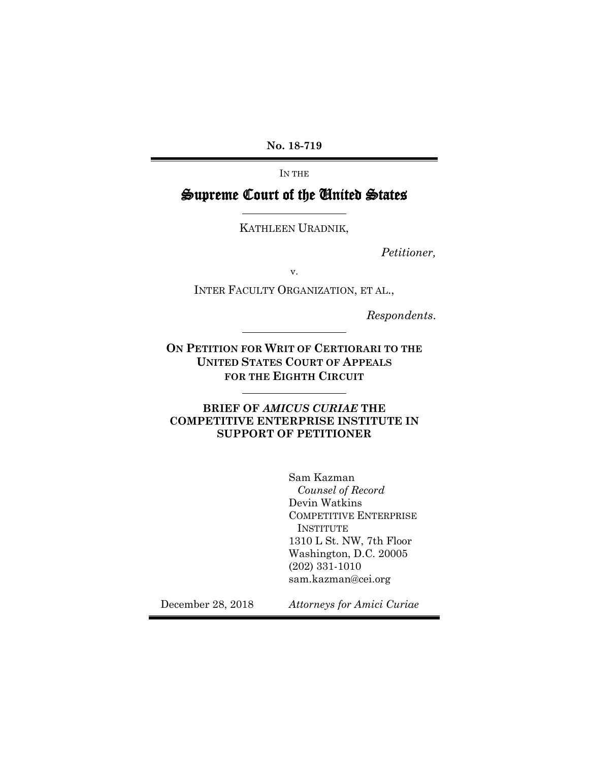**No. 18-719**

IN THE

## Supreme Court of the United States

KATHLEEN URADNIK,

*Petitioner,*

v.

INTER FACULTY ORGANIZATION, ET AL.,

*Respondents*.

**ON PETITION FOR WRIT OF CERTIORARI TO THE UNITED STATES COURT OF APPEALS FOR THE EIGHTH CIRCUIT**

**BRIEF OF** *AMICUS CURIAE* **THE COMPETITIVE ENTERPRISE INSTITUTE IN SUPPORT OF PETITIONER** 

> Sam Kazman *Counsel of Record*  Devin Watkins COMPETITIVE ENTERPRISE INSTITUTE 1310 L St. NW, 7th Floor Washington, D.C. 20005 (202) 331-1010 sam.kazman@cei.org

December 28, 2018 *Attorneys for Amici Curiae*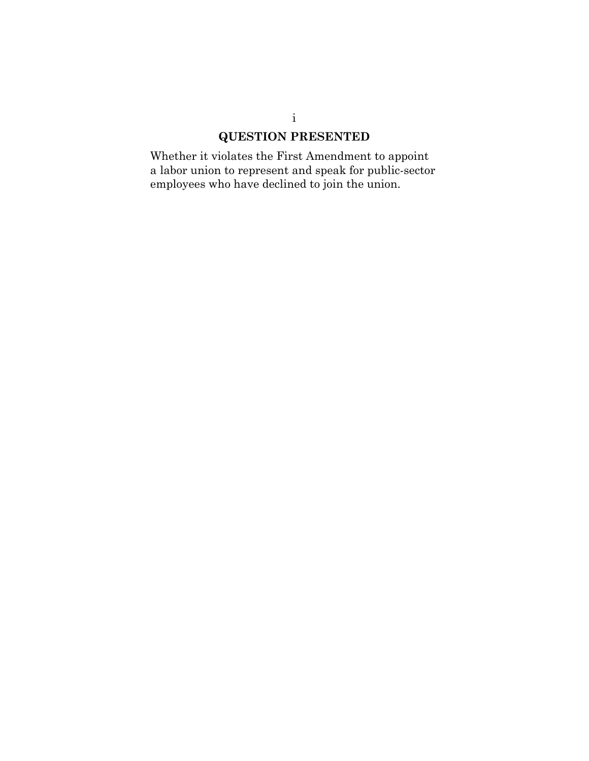## **QUESTION PRESENTED**

<span id="page-1-0"></span>Whether it violates the First Amendment to appoint a labor union to represent and speak for public-sector employees who have declined to join the union.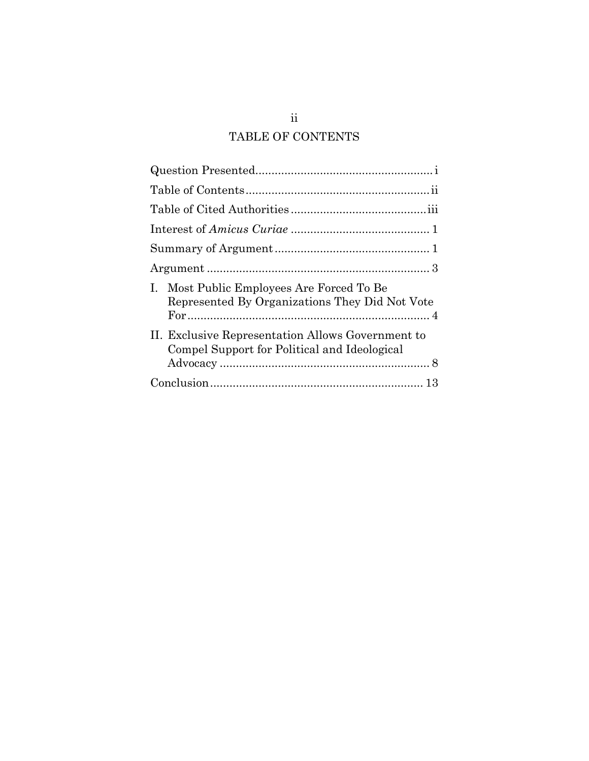## TABLE OF CONTENTS

<span id="page-2-0"></span>

| Most Public Employees Are Forced To Be<br>Ι.<br>Represented By Organizations They Did Not Vote    |
|---------------------------------------------------------------------------------------------------|
| II. Exclusive Representation Allows Government to<br>Compel Support for Political and Ideological |
|                                                                                                   |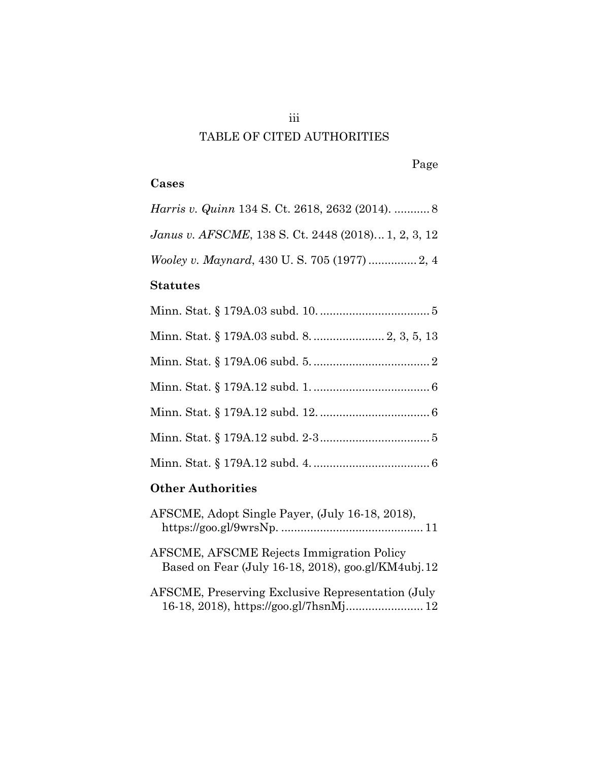# TABLE OF CITED AUTHORITIES

Page

### <span id="page-3-0"></span>**Cases**

*Harris v. Quinn* 134 S. Ct. 2618, 2632 (2014). ........... 8 *Janus v. AFSCME*, 138 S. Ct. 2448 (2018)... 1, 2, 3, 12 *Wooley v. Maynard*, 430 U. S. 705 (1977) ............... 2, 4 **Statutes** Minn. Stat. § 179A.03 subd. 10. .................................. 5 Minn. Stat. § 179A.03 subd. 8. ...................... 2, 3, 5, 13 Minn. Stat. § 179A.06 subd. 5. .................................... 2 Minn. Stat. § 179A.12 subd. 1. .................................... 6 Minn. Stat. § 179A.12 subd. 12. .................................. 6 Minn. Stat. § 179A.12 subd. 2-3 .................................. 5 Minn. Stat. § 179A.12 subd. 4. .................................... 6 **Other Authorities**

| AFSCME, Adopt Single Payer, (July 16-18, 2018),                                                        |
|--------------------------------------------------------------------------------------------------------|
| <b>AFSCME, AFSCME Rejects Immigration Policy</b><br>Based on Fear (July 16-18, 2018), goo.gl/KM4ubj.12 |
| AFSCME, Preserving Exclusive Representation (July<br>16-18, 2018), https://goo.gl/7hsnMj 12            |

iii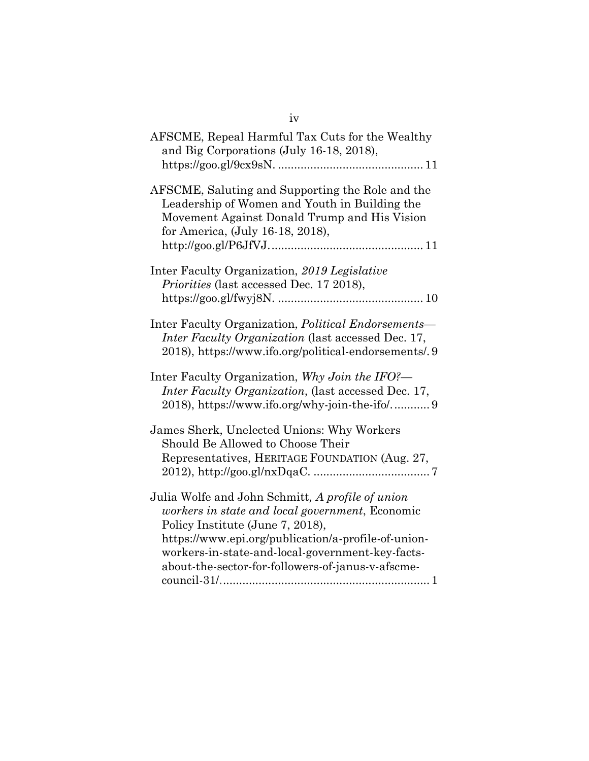| AFSCME, Repeal Harmful Tax Cuts for the Wealthy<br>and Big Corporations (July 16-18, 2018),                                                                                                                                                                                                             |
|---------------------------------------------------------------------------------------------------------------------------------------------------------------------------------------------------------------------------------------------------------------------------------------------------------|
| AFSCME, Saluting and Supporting the Role and the<br>Leadership of Women and Youth in Building the<br>Movement Against Donald Trump and His Vision<br>for America, (July 16-18, 2018),                                                                                                                   |
| Inter Faculty Organization, 2019 Legislative<br>Priorities (last accessed Dec. 17 2018),                                                                                                                                                                                                                |
| Inter Faculty Organization, <i>Political Endorsements</i> —<br>Inter Faculty Organization (last accessed Dec. 17,<br>2018), https://www.ifo.org/political-endorsements/.9                                                                                                                               |
| Inter Faculty Organization, Why Join the IFO?—<br>Inter Faculty Organization, (last accessed Dec. 17,                                                                                                                                                                                                   |
| James Sherk, Unelected Unions: Why Workers<br>Should Be Allowed to Choose Their<br>Representatives, HERITAGE FOUNDATION (Aug. 27,                                                                                                                                                                       |
| Julia Wolfe and John Schmitt, A profile of union<br>workers in state and local government, Economic<br>Policy Institute (June 7, 2018),<br>https://www.epi.org/publication/a-profile-of-union-<br>workers-in-state-and-local-government-key-facts-<br>about-the-sector-for-followers-of-janus-v-afscme- |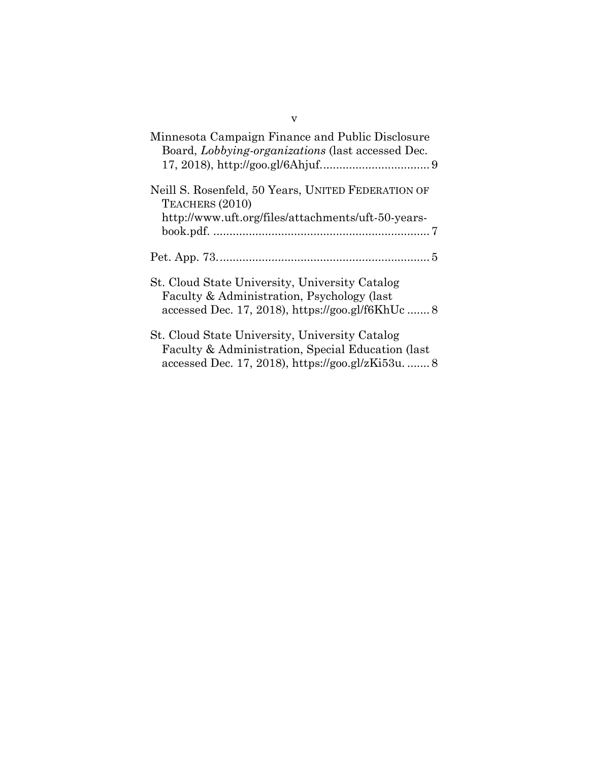| Minnesota Campaign Finance and Public Disclosure<br>Board, Lobbying-organizations (last accessed Dec.                                                     |
|-----------------------------------------------------------------------------------------------------------------------------------------------------------|
| Neill S. Rosenfeld, 50 Years, UNITED FEDERATION OF<br>TEACHERS (2010)<br>http://www.uft.org/files/attachments/uft-50-years-                               |
|                                                                                                                                                           |
| St. Cloud State University, University Catalog<br>Faculty & Administration, Psychology (last<br>accessed Dec. 17, 2018), https://goo.gl/f6KhUc            |
| St. Cloud State University, University Catalog<br>Faculty & Administration, Special Education (last<br>accessed Dec. 17, 2018), https://goo.gl/zKi53u.  8 |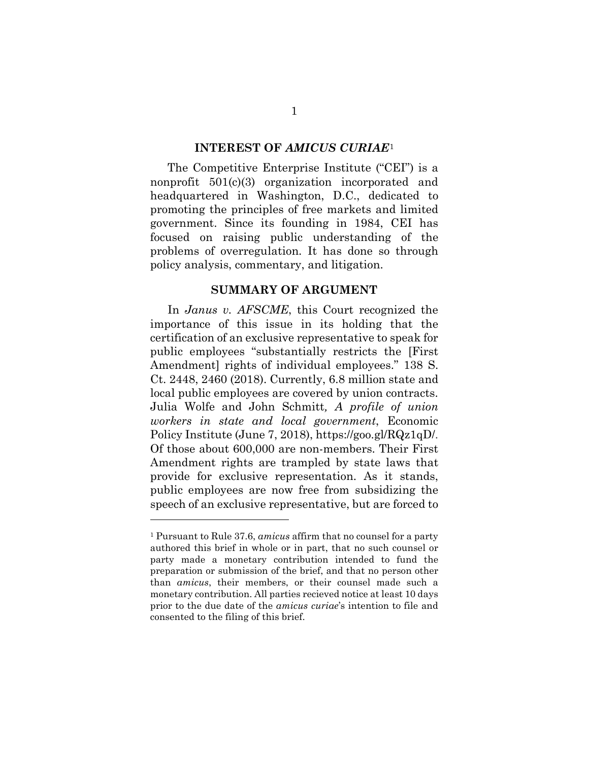#### **INTEREST OF** *AMICUS CURIAE*[1](#page-6-2)

<span id="page-6-0"></span>The Competitive Enterprise Institute ("CEI") is a nonprofit 501(c)(3) organization incorporated and headquartered in Washington, D.C., dedicated to promoting the principles of free markets and limited government. Since its founding in 1984, CEI has focused on raising public understanding of the problems of overregulation. It has done so through policy analysis, commentary, and litigation.

#### **SUMMARY OF ARGUMENT**

<span id="page-6-1"></span>In *Janus v. AFSCME*, this Court recognized the importance of this issue in its holding that the certification of an exclusive representative to speak for public employees "substantially restricts the [First Amendment] rights of individual employees." 138 S. Ct. 2448, 2460 (2018). Currently, 6.8 million state and local public employees are covered by union contracts. Julia Wolfe and John Schmitt*, A profile of union workers in state and local government*, Economic Policy Institute (June 7, 2018), [https://goo.gl/RQz1qD/.](https://www.epi.org/publication/a-profile-of-union-workers-in-state-and-local-government-key-facts-about-the-sector-for-followers-of-janus-v-afscme-council-31/) Of those about 600,000 are non-members. Their First Amendment rights are trampled by state laws that provide for exclusive representation. As it stands, public employees are now free from subsidizing the speech of an exclusive representative, but are forced to

 $\overline{a}$ 

<span id="page-6-2"></span><sup>1</sup> Pursuant to Rule 37.6, *amicus* affirm that no counsel for a party authored this brief in whole or in part, that no such counsel or party made a monetary contribution intended to fund the preparation or submission of the brief, and that no person other than *amicus*, their members, or their counsel made such a monetary contribution. All parties recieved notice at least 10 days prior to the due date of the *amicus curiae*'s intention to file and consented to the filing of this brief.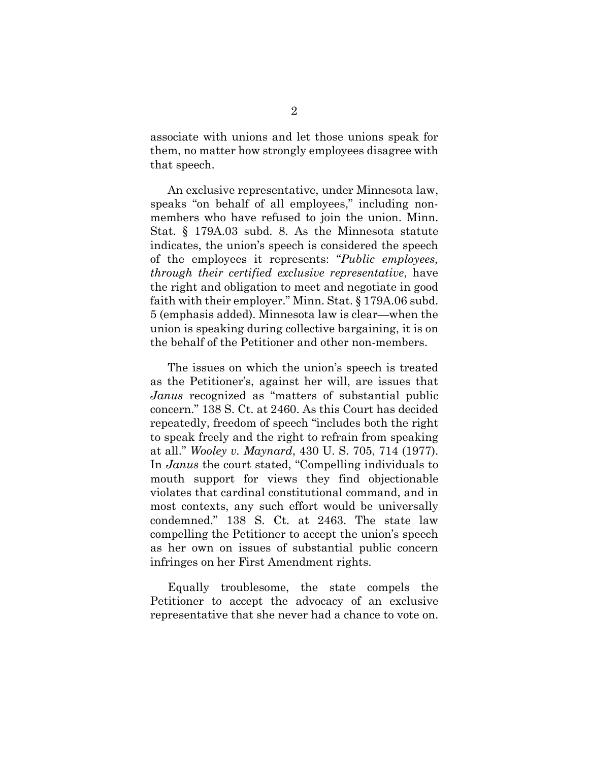associate with unions and let those unions speak for them, no matter how strongly employees disagree with that speech.

An exclusive representative, under Minnesota law, speaks "on behalf of all employees," including nonmembers who have refused to join the union. Minn. Stat. § 179A.03 subd. 8. As the Minnesota statute indicates, the union's speech is considered the speech of the employees it represents: "*Public employees, through their certified exclusive representative*, have the right and obligation to meet and negotiate in good faith with their employer." Minn. Stat. § 179A.06 subd. 5 (emphasis added). Minnesota law is clear—when the union is speaking during collective bargaining, it is on the behalf of the Petitioner and other non-members.

The issues on which the union's speech is treated as the Petitioner's, against her will, are issues that *Janus* recognized as "matters of substantial public concern." 138 S. Ct. at 2460. As this Court has decided repeatedly, freedom of speech "includes both the right to speak freely and the right to refrain from speaking at all." *Wooley v. Maynard*, 430 U. S. 705, 714 (1977). In *Janus* the court stated, "Compelling individuals to mouth support for views they find objectionable violates that cardinal constitutional command, and in most contexts, any such effort would be universally condemned." 138 S. Ct. at 2463. The state law compelling the Petitioner to accept the union's speech as her own on issues of substantial public concern infringes on her First Amendment rights.

Equally troublesome, the state compels the Petitioner to accept the advocacy of an exclusive representative that she never had a chance to vote on.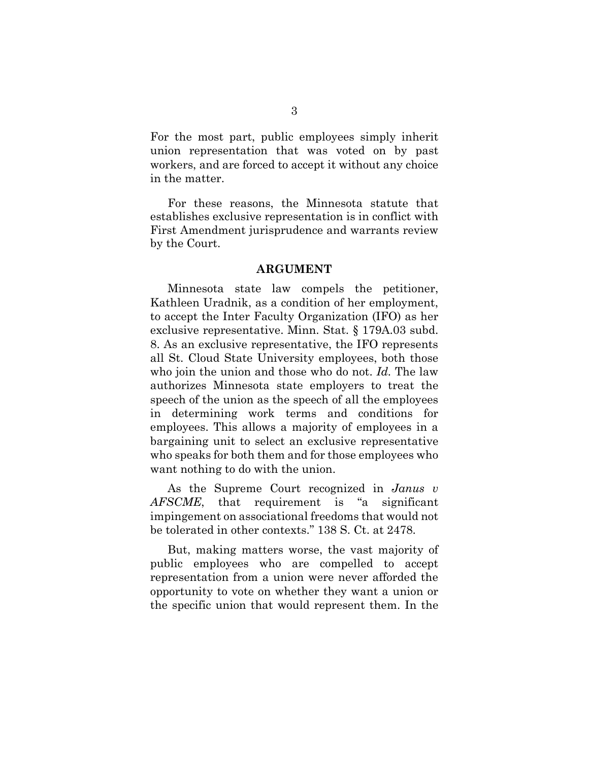For the most part, public employees simply inherit union representation that was voted on by past workers, and are forced to accept it without any choice in the matter.

For these reasons, the Minnesota statute that establishes exclusive representation is in conflict with First Amendment jurisprudence and warrants review by the Court.

#### **ARGUMENT**

<span id="page-8-0"></span>Minnesota state law compels the petitioner, Kathleen Uradnik, as a condition of her employment, to accept the Inter Faculty Organization (IFO) as her exclusive representative. Minn. Stat. § 179A.03 subd. 8. As an exclusive representative, the IFO represents all St. Cloud State University employees, both those who join the union and those who do not. *Id.* The law authorizes Minnesota state employers to treat the speech of the union as the speech of all the employees in determining work terms and conditions for employees. This allows a majority of employees in a bargaining unit to select an exclusive representative who speaks for both them and for those employees who want nothing to do with the union.

As the Supreme Court recognized in *Janus v AFSCME*, that requirement is "a significant impingement on associational freedoms that would not be tolerated in other contexts." 138 S. Ct. at 2478.

But, making matters worse, the vast majority of public employees who are compelled to accept representation from a union were never afforded the opportunity to vote on whether they want a union or the specific union that would represent them. In the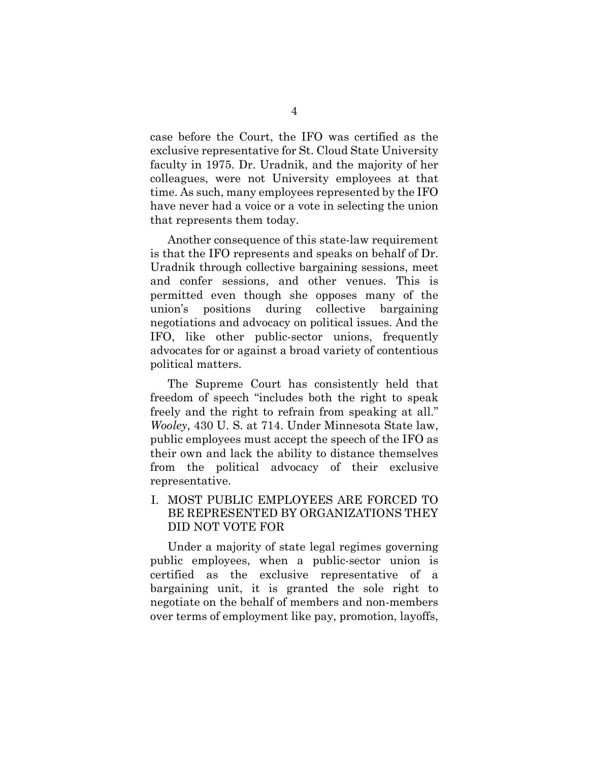case before the Court, the IFO was certified as the exclusive representative for St. Cloud State University faculty in 1975. Dr. Uradnik, and the majority of her colleagues, were not University employees at that time. As such, many employees represented by the IFO have never had a voice or a vote in selecting the union that represents them today.

Another consequence of this state-law requirement is that the IFO represents and speaks on behalf of Dr. Uradnik through collective bargaining sessions, meet and confer sessions, and other venues. This is permitted even though she opposes many of the union's positions during collective bargaining negotiations and advocacy on political issues. And the IFO, like other public-sector unions, frequently advocates for or against a broad variety of contentious political matters.

The Supreme Court has consistently held that freedom of speech "includes both the right to speak freely and the right to refrain from speaking at all." *Wooley*, 430 U. S. at 714. Under Minnesota State law, public employees must accept the speech of the IFO as their own and lack the ability to distance themselves from the political advocacy of their exclusive representative.

## <span id="page-9-0"></span>I. MOST PUBLIC EMPLOYEES ARE FORCED TO BE REPRESENTED BY ORGANIZATIONS THEY DID NOT VOTE FOR

Under a majority of state legal regimes governing public employees, when a public-sector union is certified as the exclusive representative of a bargaining unit, it is granted the sole right to negotiate on the behalf of members and non-members over terms of employment like pay, promotion, layoffs,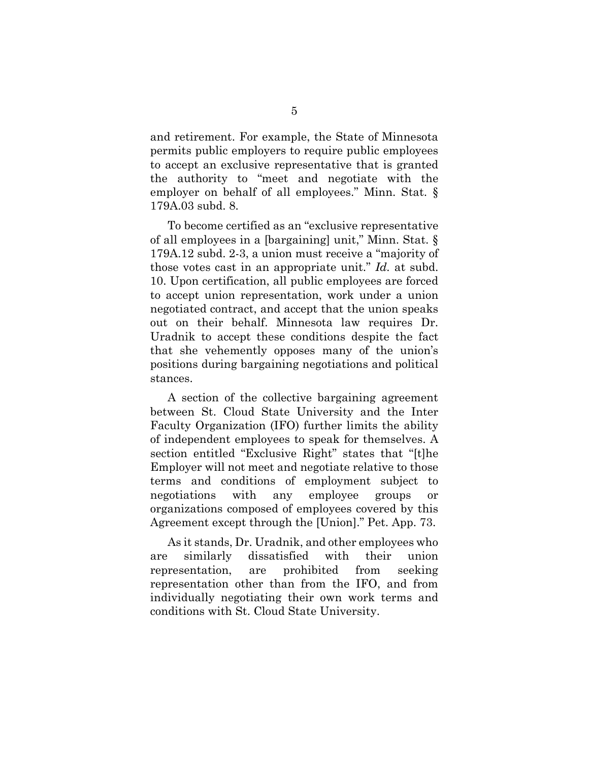and retirement. For example, the State of Minnesota permits public employers to require public employees to accept an exclusive representative that is granted the authority to "meet and negotiate with the employer on behalf of all employees." Minn. Stat. § 179A.03 subd. 8.

To become certified as an "exclusive representative of all employees in a [bargaining] unit," Minn. Stat. § 179A.12 subd. 2-3, a union must receive a "majority of those votes cast in an appropriate unit." *Id.* at subd. 10. Upon certification, all public employees are forced to accept union representation, work under a union negotiated contract, and accept that the union speaks out on their behalf. Minnesota law requires Dr. Uradnik to accept these conditions despite the fact that she vehemently opposes many of the union's positions during bargaining negotiations and political stances.

A section of the collective bargaining agreement between St. Cloud State University and the Inter Faculty Organization (IFO) further limits the ability of independent employees to speak for themselves. A section entitled "Exclusive Right" states that "[t]he Employer will not meet and negotiate relative to those terms and conditions of employment subject to negotiations with any employee groups or organizations composed of employees covered by this Agreement except through the [Union]." Pet. App. 73.

As it stands, Dr. Uradnik, and other employees who are similarly dissatisfied with their union representation, are prohibited from seeking representation other than from the IFO, and from individually negotiating their own work terms and conditions with St. Cloud State University.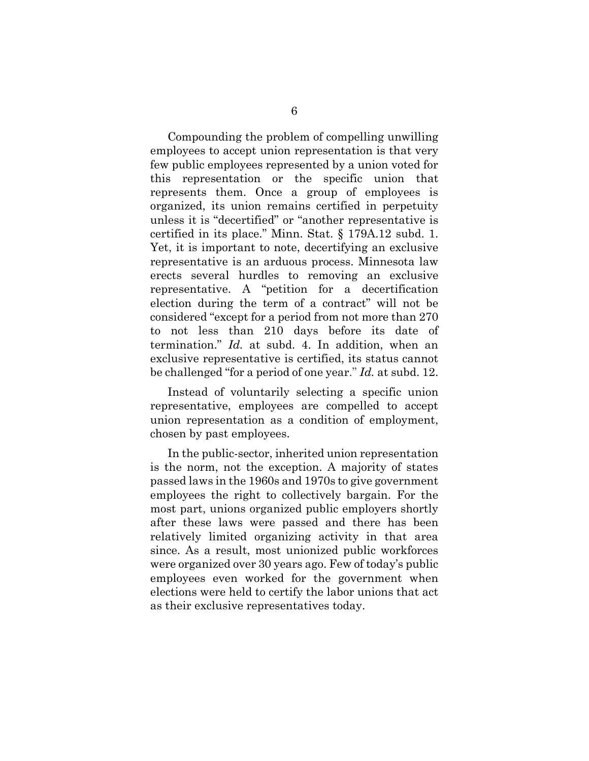Compounding the problem of compelling unwilling employees to accept union representation is that very few public employees represented by a union voted for this representation or the specific union that represents them. Once a group of employees is organized, its union remains certified in perpetuity unless it is "decertified" or "another representative is certified in its place." Minn. Stat. § 179A.12 subd. 1. Yet, it is important to note, decertifying an exclusive representative is an arduous process. Minnesota law erects several hurdles to removing an exclusive representative. A "petition for a decertification election during the term of a contract" will not be considered "except for a period from not more than 270 to not less than 210 days before its date of termination." *Id.* at subd. 4. In addition, when an exclusive representative is certified, its status cannot be challenged "for a period of one year." *Id.* at subd. 12.

Instead of voluntarily selecting a specific union representative, employees are compelled to accept union representation as a condition of employment, chosen by past employees.

In the public-sector, inherited union representation is the norm, not the exception. A majority of states passed laws in the 1960s and 1970s to give government employees the right to collectively bargain. For the most part, unions organized public employers shortly after these laws were passed and there has been relatively limited organizing activity in that area since. As a result, most unionized public workforces were organized over 30 years ago. Few of today's public employees even worked for the government when elections were held to certify the labor unions that act as their exclusive representatives today.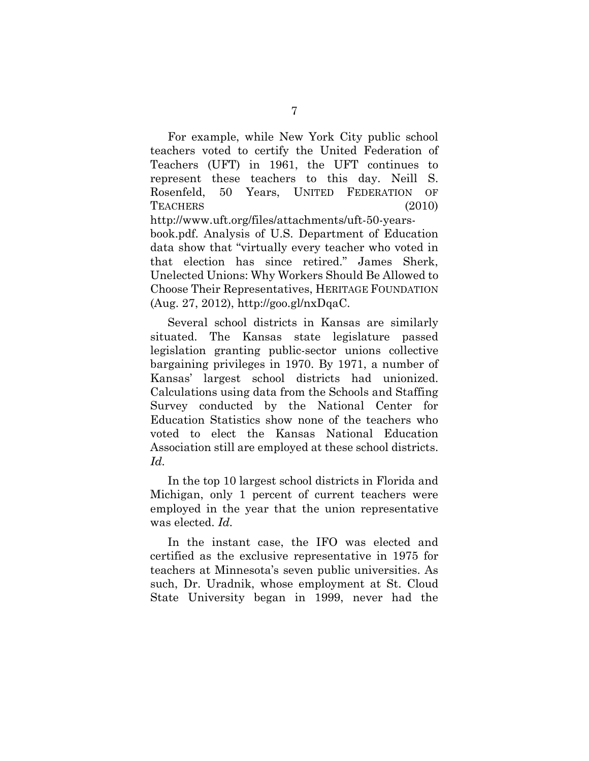For example, while New York City public school teachers voted to certify the United Federation of Teachers (UFT) in 1961, the UFT continues to represent these teachers to this day. Neill S. Rosenfeld, 50 Years, UNITED FEDERATION OF TEACHERS (2010) http://www.uft.org/files/attachments/uft-50-yearsbook.pdf. Analysis of U.S. Department of Education data show that "virtually every teacher who voted in that election has since retired." James Sherk, Unelected Unions: Why Workers Should Be Allowed to Choose Their Representatives, HERITAGE FOUNDATION (Aug. 27, 2012), [http://goo.gl/nxDqaC.](http://goo.gl/nxDqaC)

Several school districts in Kansas are similarly situated. The Kansas state legislature passed legislation granting public-sector unions collective bargaining privileges in 1970. By 1971, a number of Kansas' largest school districts had unionized. Calculations using data from the Schools and Staffing Survey conducted by the National Center for Education Statistics show none of the teachers who voted to elect the Kansas National Education Association still are employed at these school districts. *Id.*

In the top 10 largest school districts in Florida and Michigan, only 1 percent of current teachers were employed in the year that the union representative was elected. *Id.*

In the instant case, the IFO was elected and certified as the exclusive representative in 1975 for teachers at Minnesota's seven public universities. As such, Dr. Uradnik, whose employment at St. Cloud State University began in 1999, never had the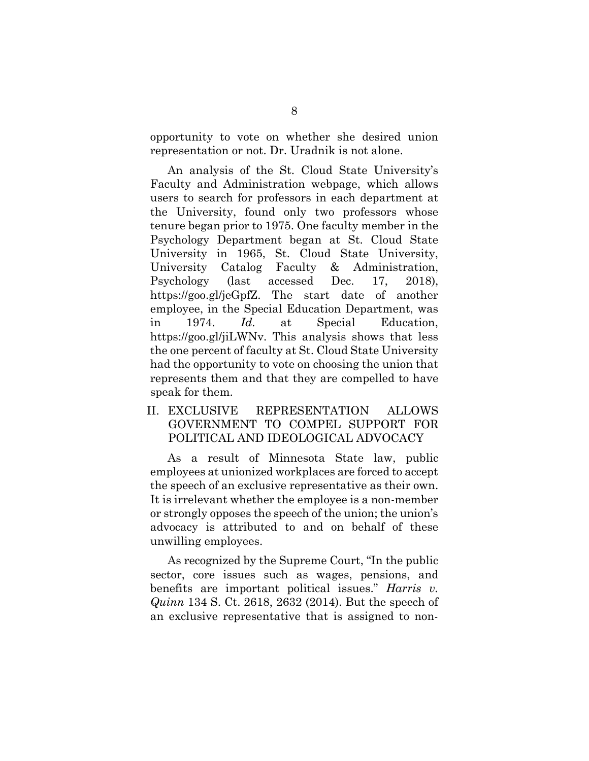opportunity to vote on whether she desired union representation or not. Dr. Uradnik is not alone.

An analysis of the St. Cloud State University's Faculty and Administration webpage, which allows users to search for professors in each department at the University, found only two professors whose tenure began prior to 1975. One faculty member in the Psychology Department began at St. Cloud State University in 1965, St. Cloud State University, University Catalog Faculty & Administration, Psychology (last accessed Dec. 17, 2018), [https://goo.gl/jeGpfZ.](https://goo.gl/jeGpfZ) The start date of another employee, in the Special Education Department, was in 1974. *Id.* at Special Education, [https://goo.gl/jiLWNv.](https://goo.gl/jiLWNv) This analysis shows that less the one percent of faculty at St. Cloud State University had the opportunity to vote on choosing the union that represents them and that they are compelled to have speak for them.

### <span id="page-13-0"></span>II. EXCLUSIVE REPRESENTATION ALLOWS GOVERNMENT TO COMPEL SUPPORT FOR POLITICAL AND IDEOLOGICAL ADVOCACY

As a result of Minnesota State law, public employees at unionized workplaces are forced to accept the speech of an exclusive representative as their own. It is irrelevant whether the employee is a non-member or strongly opposes the speech of the union; the union's advocacy is attributed to and on behalf of these unwilling employees.

As recognized by the Supreme Court, "In the public sector, core issues such as wages, pensions, and benefits are important political issues." *Harris v. Quinn* 134 S. Ct. 2618, 2632 (2014). But the speech of an exclusive representative that is assigned to non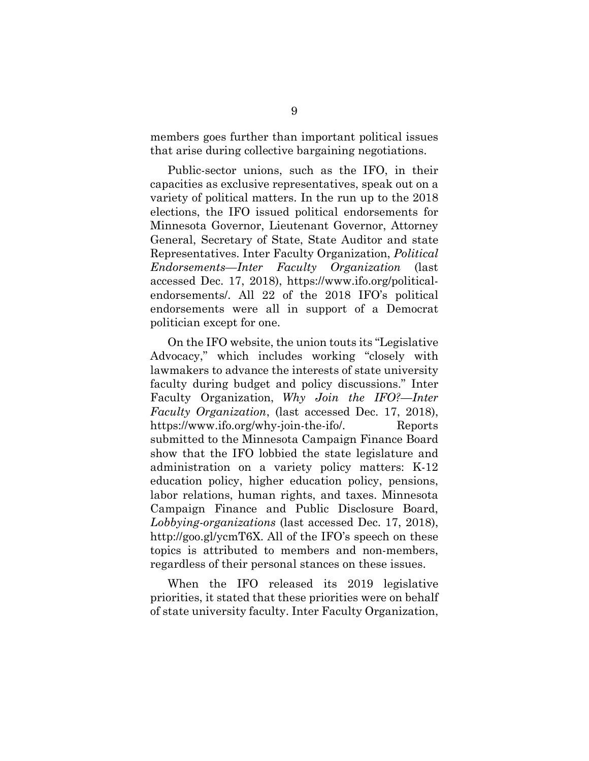members goes further than important political issues that arise during collective bargaining negotiations.

Public-sector unions, such as the IFO, in their capacities as exclusive representatives, speak out on a variety of political matters. In the run up to the 2018 elections, the IFO issued political endorsements for Minnesota Governor, Lieutenant Governor, Attorney General, Secretary of State, State Auditor and state Representatives. Inter Faculty Organization, *Political Endorsements—Inter Faculty Organization* (last accessed Dec. 17, 2018), [https://www.ifo.org/political](https://www.ifo.org/political-endorsements/)[endorsements/.](https://www.ifo.org/political-endorsements/) All 22 of the 2018 IFO's political endorsements were all in support of a Democrat politician except for one.

On the IFO website, the union touts its "Legislative Advocacy," which includes working "closely with lawmakers to advance the interests of state university faculty during budget and policy discussions." Inter Faculty Organization, *Why Join the IFO?—Inter Faculty Organization*, (last accessed Dec. 17, 2018), [https://www.ifo.org/why-join-the-ifo/.](https://www.ifo.org/why-join-the-ifo/) Reports submitted to the Minnesota Campaign Finance Board show that the IFO lobbied the state legislature and administration on a variety policy matters: K-12 education policy, higher education policy, pensions, labor relations, human rights, and taxes. Minnesota Campaign Finance and Public Disclosure Board, *Lobbying-organizations* (last accessed Dec. 17, 2018), [http://goo.gl/ycmT6X.](http://goo.gl/ycmT6X) All of the IFO's speech on these topics is attributed to members and non-members, regardless of their personal stances on these issues.

When the IFO released its 2019 legislative priorities, it stated that these priorities were on behalf of state university faculty. Inter Faculty Organization,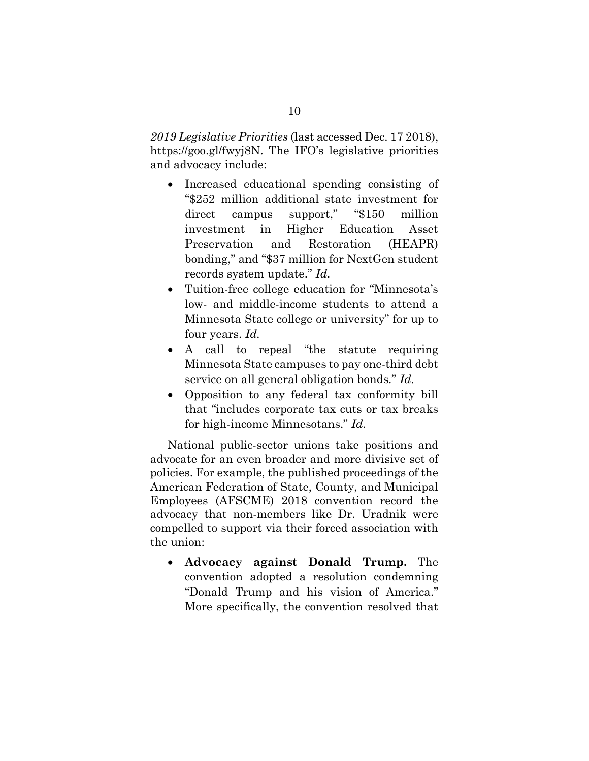*2019 Legislative Priorities* (last accessed Dec. 17 2018), https://goo.gl/fwyj8N. The IFO's legislative priorities and advocacy include:

- Increased educational spending consisting of "\$252 million additional state investment for direct campus support," "\$150 million investment in Higher Education Asset Preservation and Restoration (HEAPR) bonding," and "\$37 million for NextGen student records system update." *Id.*
- Tuition-free college education for "Minnesota's low- and middle-income students to attend a Minnesota State college or university" for up to four years. *Id.*
- A call to repeal "the statute requiring Minnesota State campuses to pay one-third debt service on all general obligation bonds." *Id.*
- Opposition to any federal tax conformity bill that "includes corporate tax cuts or tax breaks for high-income Minnesotans." *Id.*

National public-sector unions take positions and advocate for an even broader and more divisive set of policies. For example, the published proceedings of the American Federation of State, County, and Municipal Employees (AFSCME) 2018 convention record the advocacy that non-members like Dr. Uradnik were compelled to support via their forced association with the union:

• **Advocacy against Donald Trump.** The convention adopted a resolution condemning "Donald Trump and his vision of America." More specifically, the convention resolved that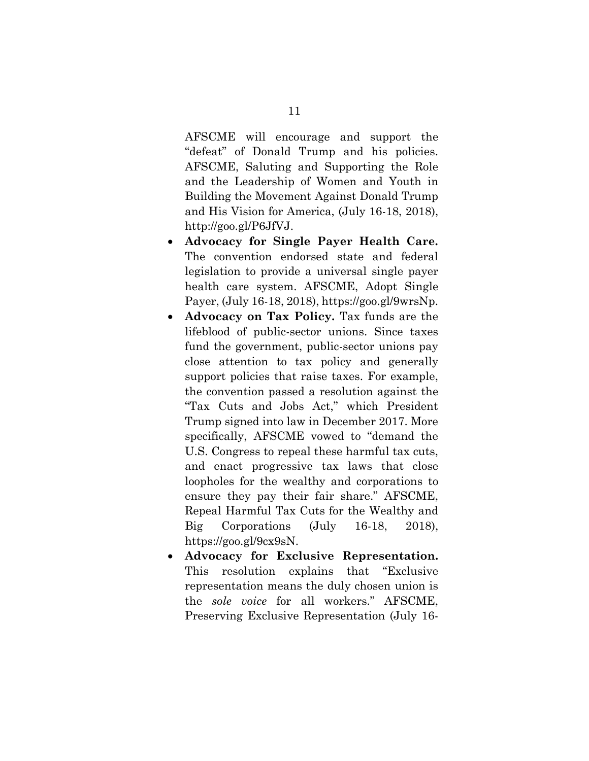AFSCME will encourage and support the "defeat" of Donald Trump and his policies. AFSCME, Saluting and Supporting the Role and the Leadership of Women and Youth in Building the Movement Against Donald Trump and His Vision for America, (July 16-18, 2018), [http://goo.gl/P6JfVJ.](http://goo.gl/P6JfVJ)

- **Advocacy for Single Payer Health Care.**  The convention endorsed state and federal legislation to provide a universal single payer health care system. AFSCME, Adopt Single Payer, (July 16-18, 2018), [https://goo.gl/9wrsNp.](https://goo.gl/9wrsNp)
- **Advocacy on Tax Policy.** Tax funds are the lifeblood of public-sector unions. Since taxes fund the government, public-sector unions pay close attention to tax policy and generally support policies that raise taxes. For example, the convention passed a resolution against the "Tax Cuts and Jobs Act," which President Trump signed into law in December 2017. More specifically, AFSCME vowed to "demand the U.S. Congress to repeal these harmful tax cuts, and enact progressive tax laws that close loopholes for the wealthy and corporations to ensure they pay their fair share." AFSCME, Repeal Harmful Tax Cuts for the Wealthy and Big Corporations (July 16-18, 2018), [https://goo.gl/9cx9sN.](https://goo.gl/9cx9sN)
- **Advocacy for Exclusive Representation.**  This resolution explains that "Exclusive representation means the duly chosen union is the *sole voice* for all workers." AFSCME, Preserving Exclusive Representation (July 16-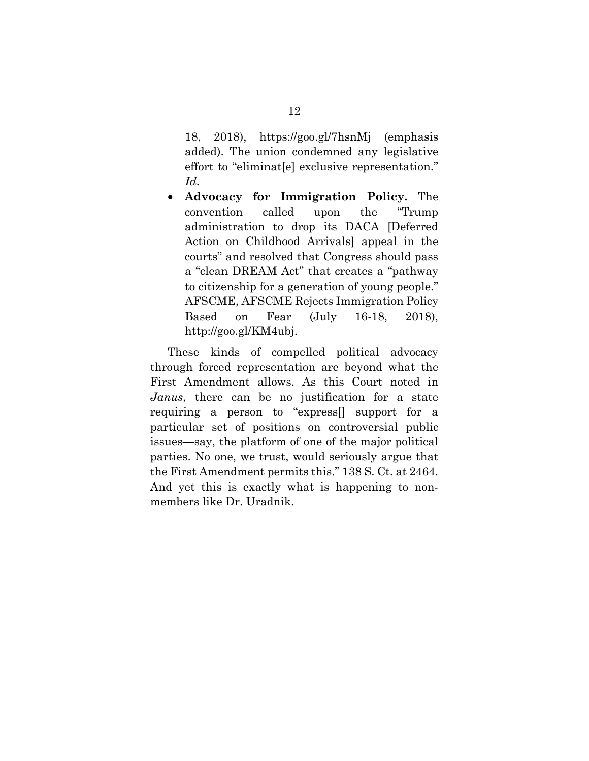18, 2018), https://goo.gl/7hsnMj (emphasis added). The union condemned any legislative effort to "eliminat[e] exclusive representation." *Id.*

• **Advocacy for Immigration Policy.** The convention called upon the "Trump administration to drop its DACA [Deferred Action on Childhood Arrivals] appeal in the courts" and resolved that Congress should pass a "clean DREAM Act" that creates a "pathway to citizenship for a generation of young people." AFSCME, AFSCME Rejects Immigration Policy Based on Fear (July 16-18, 2018), [http://goo.gl/KM4ubj.](http://goo.gl/KM4ubj)

These kinds of compelled political advocacy through forced representation are beyond what the First Amendment allows. As this Court noted in *Janus*, there can be no justification for a state requiring a person to "express[] support for a particular set of positions on controversial public issues—say, the platform of one of the major political parties. No one, we trust, would seriously argue that the First Amendment permits this." 138 S. Ct. at 2464. And yet this is exactly what is happening to nonmembers like Dr. Uradnik.